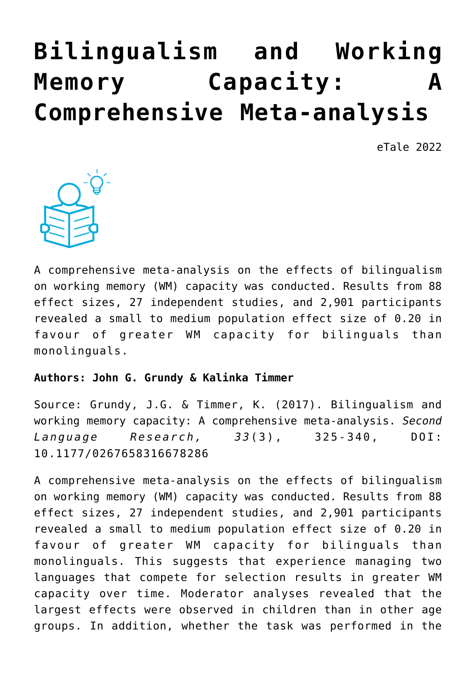## **[Bilingualism and Working](https://dev.taleafrica.com/2021/06/03/bilingualism-and-working-memory-capacity-a-comprehensive-meta-analysis/) [Memory Capacity: A](https://dev.taleafrica.com/2021/06/03/bilingualism-and-working-memory-capacity-a-comprehensive-meta-analysis/) [Comprehensive Meta-analysis](https://dev.taleafrica.com/2021/06/03/bilingualism-and-working-memory-capacity-a-comprehensive-meta-analysis/)**

eTale 2022



A comprehensive meta-analysis on the effects of bilingualism on working memory (WM) capacity was conducted. Results from 88 effect sizes, 27 independent studies, and 2,901 participants revealed a small to medium population effect size of 0.20 in favour of greater WM capacity for bilinguals than monolinguals.

## **Authors: John G. Grundy & Kalinka Timmer**

Source: Grundy, J.G. & Timmer, K. (2017). Bilingualism and working memory capacity: A comprehensive meta-analysis. *Second Language Research, 33*(3), 325-340, DOI: 10.1177/0267658316678286

A comprehensive meta-analysis on the effects of bilingualism on working memory (WM) capacity was conducted. Results from 88 effect sizes, 27 independent studies, and 2,901 participants revealed a small to medium population effect size of 0.20 in favour of greater WM capacity for bilinguals than monolinguals. This suggests that experience managing two languages that compete for selection results in greater WM capacity over time. Moderator analyses revealed that the largest effects were observed in children than in other age groups. In addition, whether the task was performed in the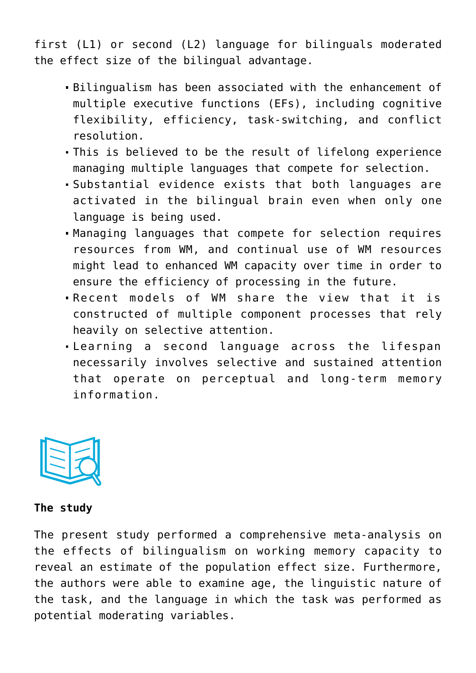first (L1) or second (L2) language for bilinguals moderated the effect size of the bilingual advantage.

- Bilingualism has been associated with the enhancement of multiple executive functions (EFs), including cognitive flexibility, efficiency, task-switching, and conflict resolution.
- This is believed to be the result of lifelong experience managing multiple languages that compete for selection.
- Substantial evidence exists that both languages are activated in the bilingual brain even when only one language is being used.
- Managing languages that compete for selection requires resources from WM, and continual use of WM resources might lead to enhanced WM capacity over time in order to ensure the efficiency of processing in the future.
- Recent models of WM share the view that it is constructed of multiple component processes that rely heavily on selective attention.
- Learning a second language across the lifespan necessarily involves selective and sustained attention that operate on perceptual and long-term memory information.



## **The study**

The present study performed a comprehensive meta-analysis on the effects of bilingualism on working memory capacity to reveal an estimate of the population effect size. Furthermore, the authors were able to examine age, the linguistic nature of the task, and the language in which the task was performed as potential moderating variables.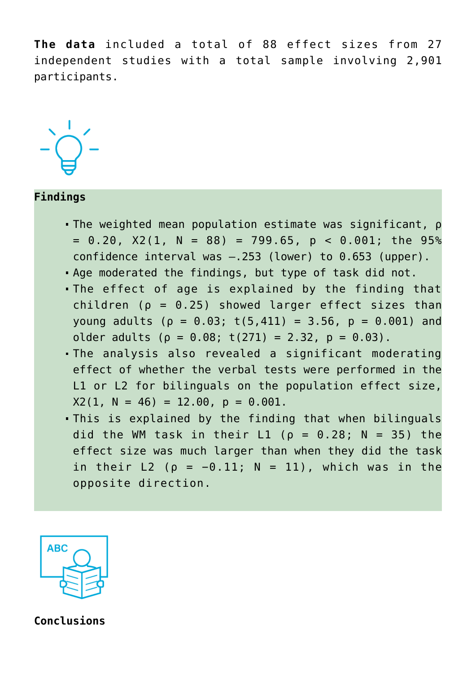**The data** included a total of 88 effect sizes from 27 independent studies with a total sample involving 2,901 participants.



## **Findings**

- The weighted mean population estimate was significant, ρ  $= 0.20$ ,  $X2(1, N = 88) = 799.65$ ,  $p < 0.001$ ; the 95% confidence interval was –.253 (lower) to 0.653 (upper).
- Age moderated the findings, but type of task did not.
- The effect of age is explained by the finding that children ( $\rho = 0.25$ ) showed larger effect sizes than young adults ( $ρ = θ.03$ ; t(5,411) = 3.56,  $p = θ.001$ ) and older adults ( $\rho = 0.08$ ; t(271) = 2.32,  $p = 0.03$ ).
- The analysis also revealed a significant moderating effect of whether the verbal tests were performed in the L1 or L2 for bilinguals on the population effect size,  $X2(1, N = 46) = 12.00, p = 0.001$ .
- This is explained by the finding that when bilinguals did the WM task in their L1 ( $\rho = 0.28$ ; N = 35) the effect size was much larger than when they did the task in their L2 ( $\rho = -0.11$ ; N = 11), which was in the opposite direction.



**Conclusions**